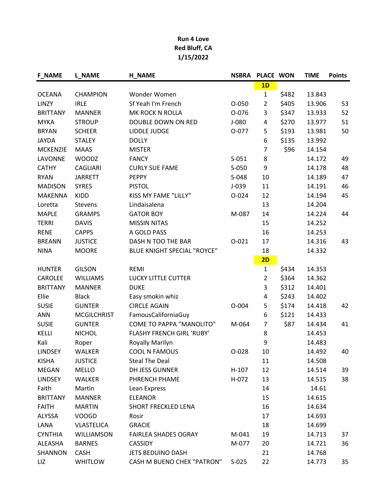| <b>F_NAME</b>   | <b>L_NAME</b>      | <b>H_NAME</b>                      | <b>NSBRA</b> | PLACE WON      |       | <b>TIME</b> | <b>Points</b> |
|-----------------|--------------------|------------------------------------|--------------|----------------|-------|-------------|---------------|
|                 |                    |                                    |              | 1D             |       |             |               |
| <b>OCEANA</b>   | <b>CHAMPION</b>    | Wonder Women                       |              | $\mathbf{1}$   | \$482 | 13.843      |               |
| LINZY           | <b>IRLE</b>        | Sf Yeah I'm French                 | $O-050$      | $\overline{2}$ | \$405 | 13.906      | 53            |
| <b>BRITTANY</b> | <b>MANNER</b>      | MK ROCK N ROLLA                    | 0-076        | 3              | \$347 | 13.933      | 52            |
| <b>MYKA</b>     | <b>STROUP</b>      | DOUBLE DOWN ON RED                 | $J-080$      | 4              | \$270 | 13.977      | 51            |
| <b>BRYAN</b>    | <b>SCHEER</b>      | LIDDLE JUDGE                       | 0-077        | 5              | \$193 | 13.981      | 50            |
| <b>JAYDA</b>    | <b>STALEY</b>      | <b>DOLLY</b>                       |              | 6              | \$135 | 13.992      |               |
| <b>MCKENZIE</b> | <b>MAAS</b>        | <b>MISTER</b>                      |              | $\overline{7}$ | \$96  | 14.154      |               |
| LAVONNE         | <b>WOODZ</b>       | <b>FANCY</b>                       | $S-051$      | 8              |       | 14.172      | 49            |
| <b>CATHY</b>    | <b>CAGLIARI</b>    | <b>CURLY SUE FAME</b>              | S-050        | 9              |       | 14.178      | 48            |
| <b>RYAN</b>     | <b>JARRETT</b>     | <b>PEPPY</b>                       | S-048        | 10             |       | 14.189      | 47            |
| <b>MADISON</b>  | <b>SYRES</b>       | <b>PISTOL</b>                      | $J-039$      | 11             |       | 14.191      | 46            |
| <b>MAKENNA</b>  | KIDD               | KISS MY FAME "LILLY"               | $O - 024$    | 12             |       | 14.194      | 45            |
| Loretta         | <b>Stevens</b>     | Lindaisalena                       |              | 13             |       | 14.204      |               |
| <b>MAPLE</b>    | <b>GRAMPS</b>      | <b>GATOR BOY</b>                   | M-087        | 14             |       | 14.224      | 44            |
| <b>TERRI</b>    | <b>DAVIS</b>       | <b>MISSIN NITAS</b>                |              | 15             |       | 14.252      |               |
| <b>RENE</b>     | <b>CAPPS</b>       | A GOLD PASS                        |              | 16             |       | 14.253      |               |
| <b>BREANN</b>   | <b>JUSTICE</b>     | DASH N TOO THE BAR                 | $O-021$      | 17             |       | 14.316      | 43            |
| <b>NINA</b>     | <b>MOORE</b>       | <b>BLUE KNIGHT SPECIAL "ROYCE"</b> |              | 18             |       | 14.332      |               |
|                 |                    |                                    |              | 2D             |       |             |               |
| <b>HUNTER</b>   | <b>GILSON</b>      | <b>REMI</b>                        |              | $\mathbf{1}$   | \$434 | 14.353      |               |
| CAROLEE         | <b>WILLIAMS</b>    | LUCKY LITTLE CUTTER                |              | $\overline{2}$ | \$364 | 14.362      |               |
| <b>BRITTANY</b> | <b>MANNER</b>      | <b>DUKE</b>                        |              | 3              | \$312 | 14.401      |               |
| Ellie           | <b>Black</b>       | Easy smokin whiz                   |              | 4              | \$243 | 14.402      |               |
| <b>SUSIE</b>    | <b>GUNTER</b>      | <b>CIRCLE AGAIN</b>                | $O - 004$    | 5              | \$174 | 14.418      | 42            |
| <b>ANN</b>      | <b>MCGILCHRIST</b> | FamousCaliforniaGuy                |              | 6              | \$121 | 14.433      |               |
| <b>SUSIE</b>    | <b>GUNTER</b>      | <b>COME TO PAPPA "MANOLITO"</b>    | M-064        | $\overline{7}$ | \$87  | 14.434      | 41            |
| KELLI           | <b>NICHOL</b>      | FLASHY FRENCH GIRL 'RUBY'          |              | 8              |       | 14.453      |               |
| Kali            | Roper              | <b>Royally Marilyn</b>             |              | 9              |       | 14.483      |               |
| <b>LINDSEY</b>  | <b>WALKER</b>      | <b>COOL N FAMOUS</b>               | $O-028$      | 10             |       | 14.492      | 40            |
| <b>KISHA</b>    | <b>JUSTICE</b>     | <b>Steal The Deal</b>              |              | 11             |       | 14.508      |               |
| <b>MEGAN</b>    | MELLO              | DH JESS GUNNER                     | $H-107$      | 12             |       | 14.514      | 39            |
| <b>LINDSEY</b>  | WALKER             | PHRENCH PHAME                      | H-072        | 13             |       | 14.515      | 38            |
| Faith           | Martin             | Lean Express                       |              | 14             |       | 14.61       |               |
| <b>BRITTANY</b> | <b>MANNER</b>      | <b>ELEANOR</b>                     |              | 15             |       | 14.615      |               |
| <b>FAITH</b>    | <b>MARTIN</b>      | <b>SHORT FRECKLED LENA</b>         |              | 16             |       | 14.634      |               |
| ALYSSA          | <b>VOOGD</b>       | Rosir                              |              | 17             |       | 14.693      |               |
| LANA            | <b>VLASTELICA</b>  | <b>GRACIE</b>                      |              | 18             |       | 14.699      |               |
| <b>CYNTHIA</b>  | WILLIAMSON         | <b>FAIRLEA SHADES OGRAY</b>        | M-041        | 19             |       | 14.713      | 37            |
| ALEASHA         | <b>BARNES</b>      | <b>CASSIDY</b>                     | M-077        | 20             |       | 14.721      | 36            |
| SHANNON         | <b>CASH</b>        | <b>JETS BEDUINO DASH</b>           |              | 21             |       | 14.768      |               |
| LIZ             | <b>WHITLOW</b>     | <b>CASH M BUENO CHEX "PATRON"</b>  | $S-025$      | 22             |       | 14.773      | 35            |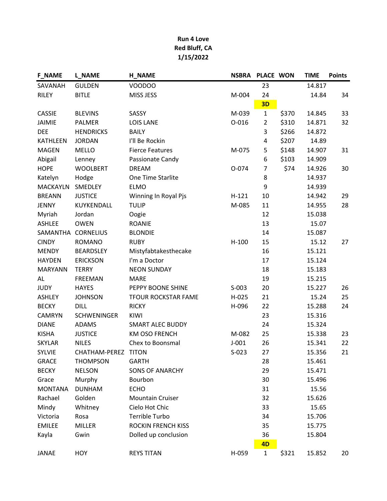| <b>F_NAME</b>      | <b>L_NAME</b>       | <b>H_NAME</b>              | <b>NSBRA</b> | PLACE WON      |       | <b>TIME</b> | <b>Points</b> |
|--------------------|---------------------|----------------------------|--------------|----------------|-------|-------------|---------------|
| SAVANAH            | <b>GULDEN</b>       | VOODOO                     |              | 23             |       | 14.817      |               |
| <b>RILEY</b>       | <b>BITLE</b>        | MISS JESS                  | M-004        | 24             |       | 14.84       | 34            |
|                    |                     |                            |              | 3D             |       |             |               |
| <b>CASSIE</b>      | <b>BLEVINS</b>      | SASSY                      | M-039        | $\mathbf 1$    | \$370 | 14.845      | 33            |
| <b>JAIMIE</b>      | <b>PALMER</b>       | <b>LOIS LANE</b>           | $O - 016$    | $\overline{2}$ | \$310 | 14.871      | 32            |
| <b>DEE</b>         | <b>HENDRICKS</b>    | <b>BAILY</b>               |              | 3              | \$266 | 14.872      |               |
| <b>KATHLEEN</b>    | <b>JORDAN</b>       | I'll Be Rockin             |              | 4              | \$207 | 14.89       |               |
| <b>MAGEN</b>       | <b>MELLO</b>        | <b>Fierce Features</b>     | M-075        | 5              | \$148 | 14.907      | 31            |
| Abigail            | Lenney              | Passionate Candy           |              | 6              | \$103 | 14.909      |               |
| <b>HOPE</b>        | <b>WOOLBERT</b>     | <b>DREAM</b>               | O-074        | $\overline{7}$ | \$74  | 14.926      | 30            |
| Katelyn            | Hodge               | One Time Starlite          |              | 8              |       | 14.937      |               |
| <b>MACKAYLN</b>    | SMEDLEY             | <b>ELMO</b>                |              | 9              |       | 14.939      |               |
| <b>BREANN</b>      | <b>JUSTICE</b>      | Winning In Royal Pjs       | $H-121$      | 10             |       | 14.942      | 29            |
| <b>JENNY</b>       | KUYKENDALL          | <b>TULIP</b>               | M-085        | 11             |       | 14.955      | 28            |
| Myriah             | Jordan              | Oogie                      |              | 12             |       | 15.038      |               |
| ASHLEE             | <b>OWEN</b>         | <b>ROANIE</b>              |              | 13             |       | 15.07       |               |
| SAMANTHA CORNELIUS |                     | <b>BLONDIE</b>             |              | 14             |       | 15.087      |               |
| <b>CINDY</b>       | <b>ROMANO</b>       | <b>RUBY</b>                | $H-100$      | 15             |       | 15.12       | 27            |
| <b>MENDY</b>       | <b>BEARDSLEY</b>    | Mistyfabtakesthecake       |              | 16             |       | 15.121      |               |
| <b>HAYDEN</b>      | <b>ERICKSON</b>     | I'm a Doctor               |              | 17             |       | 15.124      |               |
| <b>MARYANN</b>     | <b>TERRY</b>        | <b>NEON SUNDAY</b>         |              | 18             |       | 15.183      |               |
| AL                 | <b>FREEMAN</b>      | <b>MARE</b>                |              | 19             |       | 15.215      |               |
| <b>JUDY</b>        | <b>HAYES</b>        | PEPPY BOONE SHINE          | $S-003$      | 20             |       | 15.227      | 26            |
| ASHLEY             | <b>JOHNSON</b>      | <b>TFOUR ROCKSTAR FAME</b> | H-025        | 21             |       | 15.24       | 25            |
| <b>BECKY</b>       | <b>DILL</b>         | <b>RICKY</b>               | H-096        | 22             |       | 15.288      | 24            |
| <b>CAMRYN</b>      | <b>SCHWENINGER</b>  | KIWI                       |              | 23             |       | 15.316      |               |
| <b>DIANE</b>       | <b>ADAMS</b>        | <b>SMART ALEC BUDDY</b>    |              | 24             |       | 15.324      |               |
| <b>KISHA</b>       | <b>JUSTICE</b>      | <b>KM OSO FRENCH</b>       | M-082        | 25             |       | 15.338      | 23            |
| <b>SKYLAR</b>      | <b>NILES</b>        | Chex to Boonsmal           | $J-001$      | 26             |       | 15.341      | 22            |
| <b>SYLVIE</b>      | CHATHAM-PEREZ TITON |                            | $S-023$      | 27             |       | 15.356      | 21            |
| <b>GRACE</b>       | <b>THOMPSON</b>     | <b>GARTH</b>               |              | 28             |       | 15.461      |               |
| <b>BECKY</b>       | <b>NELSON</b>       | <b>SONS OF ANARCHY</b>     |              | 29             |       | 15.471      |               |
| Grace              | Murphy              | Bourbon                    |              | 30             |       | 15.496      |               |
| <b>MONTANA</b>     | <b>DUNHAM</b>       | <b>ECHO</b>                |              | 31             |       | 15.56       |               |
| Rachael            | Golden              | <b>Mountain Cruiser</b>    |              | 32             |       | 15.626      |               |
| Mindy              | Whitney             | Cielo Hot Chic             |              | 33             |       | 15.65       |               |
| Victoria           | Rosa                | Terrible Turbo             |              | 34             |       | 15.706      |               |
| <b>EMILEE</b>      | <b>MILLER</b>       | <b>ROCKIN FRENCH KISS</b>  |              | 35             |       | 15.775      |               |
| Kayla              | Gwin                | Dolled up conclusion       |              | 36             |       | 15.804      |               |
|                    |                     |                            |              | 4D             |       |             |               |
| <b>JANAE</b>       | HOY                 | <b>REYS TITAN</b>          | H-059        | $\mathbf{1}$   | \$321 | 15.852      | 20            |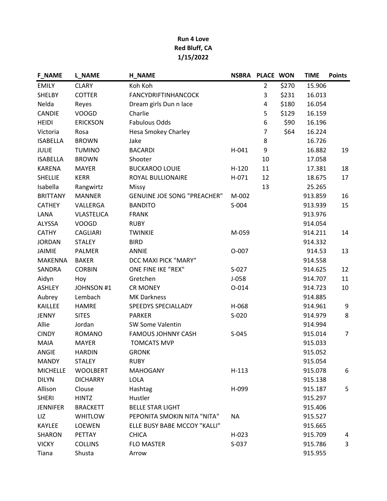| <b>F_NAME</b>   | <b>L_NAME</b>     | <b>H_NAME</b>                      | <b>NSBRA</b> | PLACE WON      |       | <b>TIME</b> | <b>Points</b>  |
|-----------------|-------------------|------------------------------------|--------------|----------------|-------|-------------|----------------|
| <b>EMILY</b>    | <b>CLARY</b>      | Koh Koh                            |              | $\overline{2}$ | \$270 | 15.906      |                |
| SHELBY          | <b>COTTER</b>     | <b>FANCYDRIFTINHANCOCK</b>         |              | 3              | \$231 | 16.013      |                |
| Nelda           | Reyes             | Dream girls Dun n lace             |              | 4              | \$180 | 16.054      |                |
| <b>CANDIE</b>   | <b>VOOGD</b>      | Charlie                            |              | 5              | \$129 | 16.159      |                |
| <b>HEIDI</b>    | <b>ERICKSON</b>   | <b>Fabulous Odds</b>               |              | 6              | \$90  | 16.196      |                |
| Victoria        | Rosa              | Hesa Smokey Charley                |              | 7              | \$64  | 16.224      |                |
| <b>ISABELLA</b> | <b>BROWN</b>      | Jake                               |              | 8              |       | 16.726      |                |
| <b>JULIE</b>    | <b>TUMINO</b>     | <b>BACARDI</b>                     | $H-041$      | 9              |       | 16.882      | 19             |
| <b>ISABELLA</b> | <b>BROWN</b>      | Shooter                            |              | 10             |       | 17.058      |                |
| <b>KARENA</b>   | <b>MAYER</b>      | <b>BUCKAROO LOUIE</b>              | $H-120$      | 11             |       | 17.381      | 18             |
| <b>SHELLIE</b>  | <b>KERR</b>       | ROYAL BULLIONAIRE                  | H-071        | 12             |       | 18.675      | 17             |
| Isabella        | Rangwirtz         | Missy                              |              | 13             |       | 25.265      |                |
| <b>BRITTANY</b> | <b>MANNER</b>     | <b>GENUINE JOE SONG "PREACHER"</b> | M-002        |                |       | 913.859     | 16             |
| <b>CATHEY</b>   | VALLERGA          | <b>BANDITO</b>                     | S-004        |                |       | 913.939     | 15             |
| LANA            | <b>VLASTELICA</b> | <b>FRANK</b>                       |              |                |       | 913.976     |                |
| ALYSSA          | <b>VOOGD</b>      | <b>RUBY</b>                        |              |                |       | 914.054     |                |
| <b>CATHY</b>    | <b>CAGLIARI</b>   | <b>TWINKIE</b>                     | M-059        |                |       | 914.211     | 14             |
| <b>JORDAN</b>   | <b>STALEY</b>     | <b>BIRD</b>                        |              |                |       | 914.332     |                |
| <b>JAIMIE</b>   | <b>PALMER</b>     | <b>ANNIE</b>                       | $O-007$      |                |       | 914.53      | 13             |
| <b>MAKENNA</b>  | <b>BAKER</b>      | DCC MAXI PICK "MARY"               |              |                |       | 914.558     |                |
| SANDRA          | <b>CORBIN</b>     | ONE FINE IKE "REX"                 | $S-027$      |                |       | 914.625     | 12             |
| Aidyn           | Hoy               | Gretchen                           | $J-058$      |                |       | 914.707     | 11             |
| <b>ASHLEY</b>   | <b>JOHNSON #1</b> | <b>CR MONEY</b>                    | $O - 014$    |                |       | 914.723     | 10             |
| Aubrey          | Lembach           | <b>MK Darkness</b>                 |              |                |       | 914.885     |                |
| KAILLEE         | <b>HAMRE</b>      | <b>SPEEDYS SPECIALLADY</b>         | H-068        |                |       | 914.961     | 9              |
| <b>JENNY</b>    | <b>SITES</b>      | <b>PARKER</b>                      | $S-020$      |                |       | 914.979     | 8              |
| Allie           | Jordan            | <b>SW Some Valentin</b>            |              |                |       | 914.994     |                |
| <b>CINDY</b>    | <b>ROMANO</b>     | <b>FAMOUS JOHNNY CASH</b>          | $S-045$      |                |       | 915.014     | $\overline{7}$ |
| <b>MAIA</b>     | <b>MAYER</b>      | <b>TOMCATS MVP</b>                 |              |                |       | 915.033     |                |
| <b>ANGIE</b>    | <b>HARDIN</b>     | <b>GRONK</b>                       |              |                |       | 915.052     |                |
| <b>MANDY</b>    | <b>STALEY</b>     | <b>RUBY</b>                        |              |                |       | 915.054     |                |
| <b>MICHELLE</b> | <b>WOOLBERT</b>   | <b>MAHOGANY</b>                    | $H-113$      |                |       | 915.078     | 6              |
| <b>DILYN</b>    | <b>DICHARRY</b>   | <b>LOLA</b>                        |              |                |       | 915.138     |                |
| Allison         | Clouse            | Hashtag                            | H-099        |                |       | 915.187     | 5              |
| <b>SHERI</b>    | <b>HINTZ</b>      | Hustler                            |              |                |       | 915.297     |                |
| <b>JENNIFER</b> | <b>BRACKETT</b>   | <b>BELLE STAR LIGHT</b>            |              |                |       | 915.406     |                |
| LIZ             | <b>WHITLOW</b>    | PEPONITA SMOKIN NITA "NITA"        | <b>NA</b>    |                |       | 915.527     |                |
| KAYLEE          | LOEWEN            | ELLE BUSY BABE MCCOY "KALLI"       |              |                |       | 915.665     |                |
| SHARON          | PETTAY            | <b>CHICA</b>                       | $H-023$      |                |       | 915.709     | 4              |
| <b>VICKY</b>    | <b>COLLINS</b>    | <b>FLO MASTER</b>                  | $S-037$      |                |       | 915.786     | 3              |
| Tiana           | Shusta            | Arrow                              |              |                |       | 915.955     |                |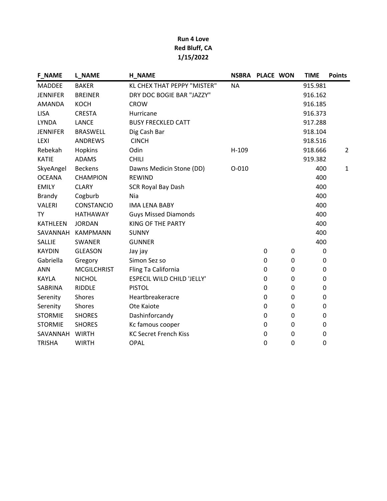| <b>F_NAME</b>   | <b>L_NAME</b>      | <b>H_NAME</b>                     | <b>NSBRA</b> | PLACE WON |   | <b>TIME</b> | <b>Points</b>  |
|-----------------|--------------------|-----------------------------------|--------------|-----------|---|-------------|----------------|
| <b>MADDEE</b>   | <b>BAKER</b>       | KL CHEX THAT PEPPY "MISTER"       | <b>NA</b>    |           |   | 915.981     |                |
| <b>JENNIFER</b> | <b>BREINER</b>     | DRY DOC BOGIE BAR "JAZZY"         |              |           |   | 916.162     |                |
| AMANDA          | <b>KOCH</b>        | <b>CROW</b>                       |              |           |   | 916.185     |                |
| <b>LISA</b>     | <b>CRESTA</b>      | Hurricane                         |              |           |   | 916.373     |                |
| <b>LYNDA</b>    | <b>LANCE</b>       | <b>BUSY FRECKLED CATT</b>         |              |           |   | 917.288     |                |
| <b>JENNIFER</b> | <b>BRASWELL</b>    | Dig Cash Bar                      |              |           |   | 918.104     |                |
| LEXI            | <b>ANDREWS</b>     | <b>CINCH</b>                      |              |           |   | 918.516     |                |
| Rebekah         | Hopkins            | Odin                              | H-109        |           |   | 918.666     | $\overline{2}$ |
| <b>KATIE</b>    | ADAMS              | <b>CHILI</b>                      |              |           |   | 919.382     |                |
| SkyeAngel       | <b>Beckens</b>     | Dawns Medicin Stone (DD)          | $O - 010$    |           |   | 400         | $\mathbf{1}$   |
| <b>OCEANA</b>   | <b>CHAMPION</b>    | <b>REWIND</b>                     |              |           |   | 400         |                |
| <b>EMILY</b>    | <b>CLARY</b>       | <b>SCR Royal Bay Dash</b>         |              |           |   | 400         |                |
| <b>Brandy</b>   | Cogburb            | Nia                               |              |           |   | 400         |                |
| <b>VALERI</b>   | <b>CONSTANCIO</b>  | <b>IMA LENA BABY</b>              |              |           |   | 400         |                |
| TY              | <b>HATHAWAY</b>    | <b>Guys Missed Diamonds</b>       |              |           |   | 400         |                |
| <b>KATHLEEN</b> | <b>JORDAN</b>      | KING OF THE PARTY                 |              |           |   | 400         |                |
|                 | SAVANNAH KAMPMANN  | <b>SUNNY</b>                      |              |           |   | 400         |                |
| SALLIE          | <b>SWANER</b>      | <b>GUNNER</b>                     |              |           |   | 400         |                |
| <b>KAYDIN</b>   | <b>GLEASON</b>     | Jay jay                           |              | 0         | 0 | 0           |                |
| Gabriella       | Gregory            | Simon Sez so                      |              | 0         | 0 | 0           |                |
| <b>ANN</b>      | <b>MCGILCHRIST</b> | Fling Ta California               |              | 0         | 0 | 0           |                |
| <b>KAYLA</b>    | <b>NICHOL</b>      | <b>ESPECIL WILD CHILD 'JELLY'</b> |              | 0         | 0 | 0           |                |
| SABRINA         | <b>RIDDLE</b>      | <b>PISTOL</b>                     |              | 0         | 0 | 0           |                |
| Serenity        | Shores             | Heartbreakeracre                  |              | 0         | 0 | 0           |                |
| Serenity        | Shores             | Ote Kaiote                        |              | 0         | 0 | 0           |                |
| <b>STORMIE</b>  | <b>SHORES</b>      | Dashinforcandy                    |              | 0         | 0 | 0           |                |
| <b>STORMIE</b>  | <b>SHORES</b>      | Kc famous cooper                  |              | 0         | 0 | 0           |                |
| SAVANNAH        | <b>WIRTH</b>       | <b>KC Secret French Kiss</b>      |              | 0         | 0 | 0           |                |
| <b>TRISHA</b>   | <b>WIRTH</b>       | <b>OPAL</b>                       |              | 0         | 0 | 0           |                |